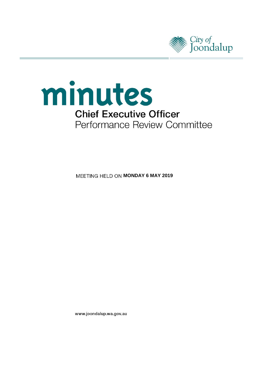



**MEETING HELD ON MONDAY 6 MAY 2019** 

www.joondalup.wa.gov.au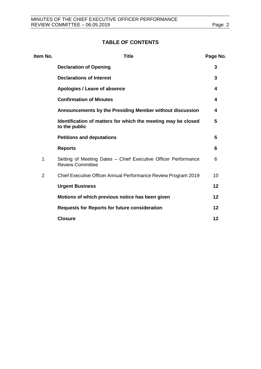## **TABLE OF CONTENTS**

| Item No. | <b>Title</b>                                                                              | Page No. |
|----------|-------------------------------------------------------------------------------------------|----------|
|          | <b>Declaration of Opening</b>                                                             | 3        |
|          | <b>Declarations of Interest</b>                                                           | 3        |
|          | Apologies / Leave of absence                                                              | 4        |
|          | <b>Confirmation of Minutes</b>                                                            | 4        |
|          | Announcements by the Presiding Member without discussion                                  | 4        |
|          | Identification of matters for which the meeting may be closed<br>to the public            | 5        |
|          | <b>Petitions and deputations</b>                                                          | 5        |
|          | <b>Reports</b>                                                                            | 6        |
| 1        | Setting of Meeting Dates - Chief Executive Officer Performance<br><b>Review Committee</b> | 6        |
| 2        | Chief Executive Officer Annual Performance Review Program 2019                            | 10       |
|          | <b>Urgent Business</b>                                                                    | 12       |
|          | Motions of which previous notice has been given                                           | 12       |
|          | <b>Requests for Reports for future consideration</b>                                      | 12       |
|          | <b>Closure</b>                                                                            | 12       |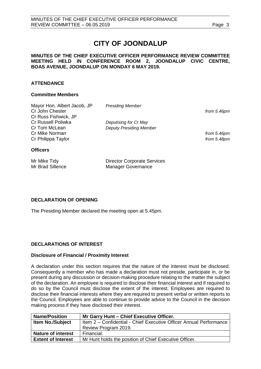# **CITY OF JOONDALUP**

## **MINUTES OF THE CHIEF EXECUTIVE OFFICER PERFORMANCE REVIEW COMMITTEE MEETING HELD IN CONFERENCE ROOM 2, JOONDALUP CIVIC CENTRE, BOAS AVENUE, JOONDALUP ON MONDAY 6 MAY 2019.**

## **ATTENDANCE**

## **Committee Members**

| Mayor Hon. Albert Jacob, JP<br>Cr John Chester<br>Cr Russ Fishwick, JP | <b>Presiding Member</b>                                         | from 5.46pm   |
|------------------------------------------------------------------------|-----------------------------------------------------------------|---------------|
| Cr Russell Poliwka                                                     | Deputising for Cr May                                           |               |
| Cr Tom McLean                                                          | <b>Deputy Presiding Member</b>                                  |               |
| Cr Mike Norman                                                         |                                                                 | from 5.46pm   |
| Cr Philippa Taylor                                                     |                                                                 | from $5.48pm$ |
| <b>Officers</b>                                                        |                                                                 |               |
| Mr Mike Tidy<br>Mr Brad Sillence                                       | <b>Director Corporate Services</b><br><b>Manager Governance</b> |               |

## <span id="page-2-0"></span>**DECLARATION OF OPENING**

The Presiding Member declared the meeting open at 5.45pm.

## <span id="page-2-1"></span>**DECLARATIONS OF INTEREST**

## **Disclosure of Financial / Proximity Interest**

A declaration under this section requires that the nature of the interest must be disclosed. Consequently a member who has made a declaration must not preside, participate in, or be present during any discussion or decision-making procedure relating to the matter the subject of the declaration. An employee is required to disclose their financial interest and if required to do so by the Council must disclose the extent of the interest. Employees are required to disclose their financial interests where they are required to present verbal or written reports to the Council. Employees are able to continue to provide advice to the Council in the decision making process if they have disclosed their interest.

| <b>Name/Position</b>      | Mr Garry Hunt - Chief Executive Officer.                           |
|---------------------------|--------------------------------------------------------------------|
| <b>Item No./Subject</b>   | Item 2 - Confidential - Chief Executive Officer Annual Performance |
|                           | Review Program 2019.                                               |
| <b>Nature of interest</b> | Financial.                                                         |
| <b>Extent of Interest</b> | Mr Hunt holds the position of Chief Executive Officer.             |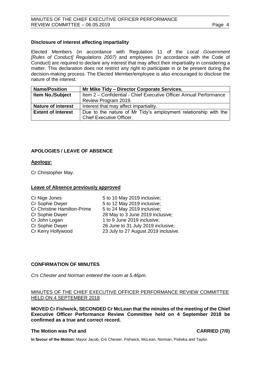## **Disclosure of interest affecting impartiality**

Elected Members (in accordance with Regulation 11 of the *Local Government [Rules of Conduct] Regulations 2007)* and employees (in accordance with the Code of Conduct) are required to declare any interest that may affect their impartiality in considering a matter. This declaration does not restrict any right to participate in or be present during the decision-making process. The Elected Member/employee is also encouraged to disclose the nature of the interest.

| <b>Name/Position</b>      | Mr Mike Tidy - Director Corporate Services.                        |  |
|---------------------------|--------------------------------------------------------------------|--|
| <b>Item No./Subject</b>   | Item 2 - Confidential - Chief Executive Officer Annual Performance |  |
|                           | Review Program 2019.                                               |  |
| <b>Nature of interest</b> | Interest that may affect impartiality.                             |  |
| <b>Extent of Interest</b> | Due to the nature of Mr Tidy's employment relationship with the    |  |
|                           | Chief Executive Officer.                                           |  |

## <span id="page-3-0"></span>**APOLOGIES / LEAVE OF ABSENCE**

## **Apology:**

Cr Christopher May.

### **Leave of Absence previously approved**

| Cr Nige Jones               | 5 to 10 May 2019 inclusive;          |
|-----------------------------|--------------------------------------|
| Cr Sophie Dwyer             | 5 to 12 May 2019 inclusive;          |
| Cr Christine Hamilton-Prime | 5 to 24 May 2019 inclusive;          |
| Cr Sophie Dwyer             | 28 May to 3 June 2019 inclusive;     |
| Cr John Logan               | 1 to 9 June 2019 inclusive;          |
| Cr Sophie Dwyer             | 26 June to 31 July 2019 inclusive;   |
| Cr Kerry Hollywood          | 23 July to 27 August 2019 inclusive. |
|                             |                                      |

## <span id="page-3-1"></span>**CONFIRMATION OF MINUTES**

*Crs Chester and Norman entered the room at 5.46pm.*

## MINUTES OF THE CHIEF EXECUTIVE OFFICER PERFORMANCE REVIEW COMMITTEE HELD ON 4 SEPTEMBER 2018

**MOVED Cr Fishwick, SECONDED Cr McLean that the minutes of the meeting of the Chief Executive Officer Performance Review Committee held on 4 September 2018 be confirmed as a true and correct record.**

### **The Motion was Put and CARRIED (7/0)**

**In favour of the Motion:** Mayor Jacob, Crs Chester, Fishwick, McLean, Norman, Poliwka and Taylor.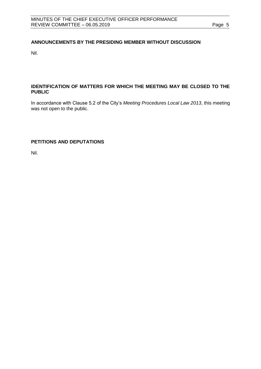## **ANNOUNCEMENTS BY THE PRESIDING MEMBER WITHOUT DISCUSSION**

Nil.

## <span id="page-4-0"></span>**IDENTIFICATION OF MATTERS FOR WHICH THE MEETING MAY BE CLOSED TO THE PUBLIC**

In accordance with Clause 5.2 of the City's *Meeting Procedures Local Law 2013*, this meeting was not open to the public.

## <span id="page-4-1"></span>**PETITIONS AND DEPUTATIONS**

Nil.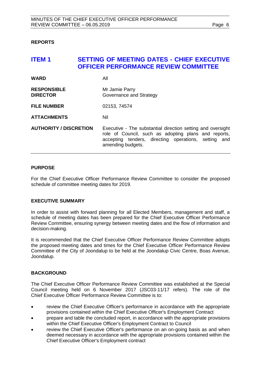## <span id="page-5-0"></span>**REPORTS**

## <span id="page-5-1"></span>**ITEM 1 SETTING OF MEETING DATES - CHIEF EXECUTIVE OFFICER PERFORMANCE REVIEW COMMITTEE**

| <b>WARD</b>                           | All                                                                                                                                                                                                 |
|---------------------------------------|-----------------------------------------------------------------------------------------------------------------------------------------------------------------------------------------------------|
| <b>RESPONSIBLE</b><br><b>DIRECTOR</b> | Mr Jamie Parry<br>Governance and Strategy                                                                                                                                                           |
| <b>FILE NUMBER</b>                    | 02153, 74574                                                                                                                                                                                        |
| <b>ATTACHMENTS</b>                    | Nil                                                                                                                                                                                                 |
| <b>AUTHORITY / DISCRETION</b>         | Executive - The substantial direction setting and oversight<br>role of Council, such as adopting plans and reports,<br>accepting tenders, directing operations, setting<br>and<br>amending budgets. |

## **PURPOSE**

For the Chief Executive Officer Performance Review Committee to consider the proposed schedule of committee meeting dates for 2019.

## **EXECUTIVE SUMMARY**

In order to assist with forward planning for all Elected Members, management and staff, a schedule of meeting dates has been prepared for the Chief Executive Officer Performance Review Committee, ensuring synergy between meeting dates and the flow of information and decision-making.

It is recommended that the Chief Executive Officer Performance Review Committee adopts the proposed meeting dates and times for the Chief Executive Officer Performance Review Committee of the City of Joondalup to be held at the Joondalup Civic Centre, Boas Avenue, Joondalup.

## **BACKGROUND**

The Chief Executive Officer Performance Review Committee was established at the Special Council meeting held on 6 November 2017 (JSC03-11/17 refers). The role of the Chief Executive Officer Performance Review Committee is to:

- review the Chief Executive Officer's performance in accordance with the appropriate provisions contained within the Chief Executive Officer's Employment Contract
- prepare and table the concluded report, in accordance with the appropriate provisions within the Chief Executive Officer's Employment Contract to Council
- review the Chief Executive Officer's performance on an on-going basis as and when deemed necessary in accordance with the appropriate provisions contained within the Chief Executive Officer's Employment contract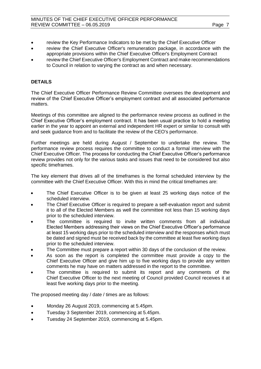- review the Key Performance Indicators to be met by the Chief Executive Officer
- review the Chief Executive Officer's remuneration package, in accordance with the appropriate provisions within the Chief Executive Officer's Employment Contract
- review the Chief Executive Officer's Employment Contract and make recommendations to Council in relation to varying the contract as and when necessary.

## **DETAILS**

The Chief Executive Officer Performance Review Committee oversees the development and review of the Chief Executive Officer's employment contract and all associated performance matters.

Meetings of this committee are aligned to the performance review process as outlined in the Chief Executive Officer's employment contract. It has been usual practice to hold a meeting earlier in the year to appoint an external and independent HR expert or similar to consult with and seek guidance from and to facilitate the review of the CEO's performance.

Further meetings are held during August / September to undertake the review. The performance review process requires the committee to conduct a formal interview with the Chief Executive Officer. The process for conducting the Chief Executive Officer's performance review provides not only for the various tasks and issues that need to be considered but also specific timeframes.

The key element that drives all of the timeframes is the formal scheduled interview by the committee with the Chief Executive Officer. With this in mind the critical timeframes are:

- The Chief Executive Officer is to be given at least 25 working days notice of the scheduled interview.
- The Chief Executive Officer is required to prepare a self-evaluation report and submit it to all of the Elected Members as well the committee not less than 15 working days prior to the scheduled interview.
- The committee is required to invite written comments from all individual Elected Members addressing their views on the Chief Executive Officer's performance at least 15 working days prior to the scheduled interview and the responses which must be dated and signed must be received back by the committee at least five working days prior to the scheduled interview.
- The Committee must prepare a report within 30 days of the conclusion of the review.
- As soon as the report is completed the committee must provide a copy to the Chief Executive Officer and give him up to five working days to provide any written comments he may have on matters addressed in the report to the committee.
- The committee is required to submit its report and any comments of the Chief Executive Officer to the next meeting of Council provided Council receives it at least five working days prior to the meeting.

The proposed meeting day / date / times are as follows:

- Monday 26 August 2019, commencing at 5.45pm.
- Tuesday 3 September 2019, commencing at 5.45pm.
- Tuesday 24 September 2019, commencing at 5.45pm.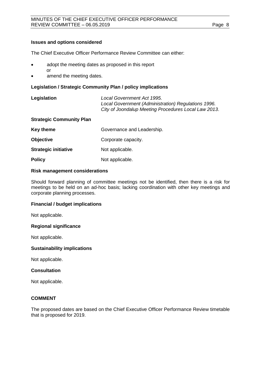## **Issues and options considered**

The Chief Executive Officer Performance Review Committee can either:

- adopt the meeting dates as proposed in this report
	- or
	- amend the meeting dates.

## **Legislation / Strategic Community Plan / policy implications**

**Legislation** *Local Government Act 1995. Local Government (Administration) Regulations 1996. City of Joondalup Meeting Procedures Local Law 2013*.

## **Strategic Community Plan**

| <b>Key theme</b> | Governance and Leadership. |
|------------------|----------------------------|
|------------------|----------------------------|

**Objective** Corporate capacity.

**Strategic initiative** Not applicable.

**Policy** Not applicable.

## **Risk management considerations**

Should forward planning of committee meetings not be identified, then there is a risk for meetings to be held on an ad-hoc basis; lacking coordination with other key meetings and corporate planning processes.

### **Financial / budget implications**

Not applicable.

### **Regional significance**

Not applicable.

### **Sustainability implications**

Not applicable.

## **Consultation**

Not applicable.

## **COMMENT**

The proposed dates are based on the Chief Executive Officer Performance Review timetable that is proposed for 2019.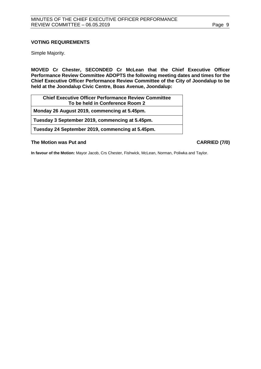## **VOTING REQUIREMENTS**

Simple Majority.

**MOVED Cr Chester, SECONDED Cr McLean that the Chief Executive Officer Performance Review Committee ADOPTS the following meeting dates and times for the Chief Executive Officer Performance Review Committee of the City of Joondalup to be held at the Joondalup Civic Centre, Boas Avenue, Joondalup:**

**Chief Executive Officer Performance Review Committee To be held in Conference Room 2 Monday 26 August 2019, commencing at 5.45pm. Tuesday 3 September 2019, commencing at 5.45pm.**

**Tuesday 24 September 2019, commencing at 5.45pm.**

**The Motion was Put and CARRIED (7/0)**

**In favour of the Motion:** Mayor Jacob, Crs Chester, Fishwick, McLean, Norman, Poliwka and Taylor.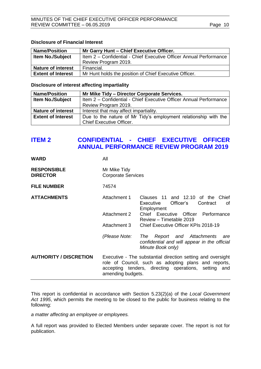## **Disclosure of Financial Interest**

| <b>Name/Position</b>      | Mr Garry Hunt - Chief Executive Officer.                           |
|---------------------------|--------------------------------------------------------------------|
| <b>Item No./Subject</b>   | Item 2 - Confidential - Chief Executive Officer Annual Performance |
|                           | Review Program 2019.                                               |
| <b>Nature of interest</b> | Financial.                                                         |
| <b>Extent of Interest</b> | Mr Hunt holds the position of Chief Executive Officer.             |

## **Disclosure of interest affecting impartiality**

| <b>Name/Position</b>      | Mr Mike Tidy - Director Corporate Services.                        |  |  |
|---------------------------|--------------------------------------------------------------------|--|--|
| <b>Item No./Subject</b>   | Item 2 - Confidential - Chief Executive Officer Annual Performance |  |  |
|                           | Review Program 2019.                                               |  |  |
| <b>Nature of interest</b> | Interest that may affect impartiality.                             |  |  |
| <b>Extent of Interest</b> | Due to the nature of Mr Tidy's employment relationship with the    |  |  |
|                           | <b>Chief Executive Officer.</b>                                    |  |  |

## <span id="page-9-0"></span>**ITEM 2 CONFIDENTIAL - CHIEF EXECUTIVE OFFICER ANNUAL PERFORMANCE REVIEW PROGRAM 2019**

| <b>WARD</b>                           | All                                                                                                                                                                                              |                                                                                                           |
|---------------------------------------|--------------------------------------------------------------------------------------------------------------------------------------------------------------------------------------------------|-----------------------------------------------------------------------------------------------------------|
| <b>RESPONSIBLE</b><br><b>DIRECTOR</b> | Mr Mike Tidy<br><b>Corporate Services</b>                                                                                                                                                        |                                                                                                           |
| <b>FILE NUMBER</b>                    | 74574                                                                                                                                                                                            |                                                                                                           |
| <b>ATTACHMENTS</b>                    | Attachment 1                                                                                                                                                                                     | Clauses 11 and 12.10 of the Chief<br>Officer's<br>Executive<br>Contract<br>οf<br>Employment               |
|                                       | <b>Attachment 2</b>                                                                                                                                                                              | Chief Executive Officer<br>Performance<br>Review - Timetable 2019                                         |
|                                       | Attachment 3                                                                                                                                                                                     | Chief Executive Officer KPIs 2018-19                                                                      |
|                                       | (Please Note:                                                                                                                                                                                    | Report and Attachments<br>The<br>are<br>confidential and will appear in the official<br>Minute Book only) |
| <b>AUTHORITY / DISCRETION</b>         | Executive - The substantial direction setting and oversight<br>role of Council, such as adopting plans and reports,<br>accepting tenders, directing operations, setting and<br>amending budgets. |                                                                                                           |

This report is confidential in accordance with Section 5.23(2)(a) of the *Local Government Act 1995*, which permits the meeting to be closed to the public for business relating to the following:

*a matter affecting an employee or employees.*

A full report was provided to Elected Members under separate cover. The report is not for publication.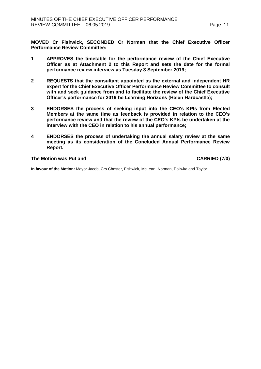**MOVED Cr Fishwick, SECONDED Cr Norman that the Chief Executive Officer Performance Review Committee:**

- **1 APPROVES the timetable for the performance review of the Chief Executive Officer as at Attachment 2 to this Report and sets the date for the formal performance review interview as Tuesday 3 September 2019;**
- **2 REQUESTS that the consultant appointed as the external and independent HR expert for the Chief Executive Officer Performance Review Committee to consult with and seek guidance from and to facilitate the review of the Chief Executive Officer's performance for 2019 be Learning Horizons (Helen Hardcastle);**
- **3 ENDORSES the process of seeking input into the CEO's KPIs from Elected Members at the same time as feedback is provided in relation to the CEO's performance review and that the review of the CEO's KPIs be undertaken at the interview with the CEO in relation to his annual performance;**
- **4 ENDORSES the process of undertaking the annual salary review at the same meeting as its consideration of the Concluded Annual Performance Review Report.**

### **The Motion was Put and CARRIED (7/0)**

**In favour of the Motion:** Mayor Jacob, Crs Chester, Fishwick, McLean, Norman, Poliwka and Taylor.